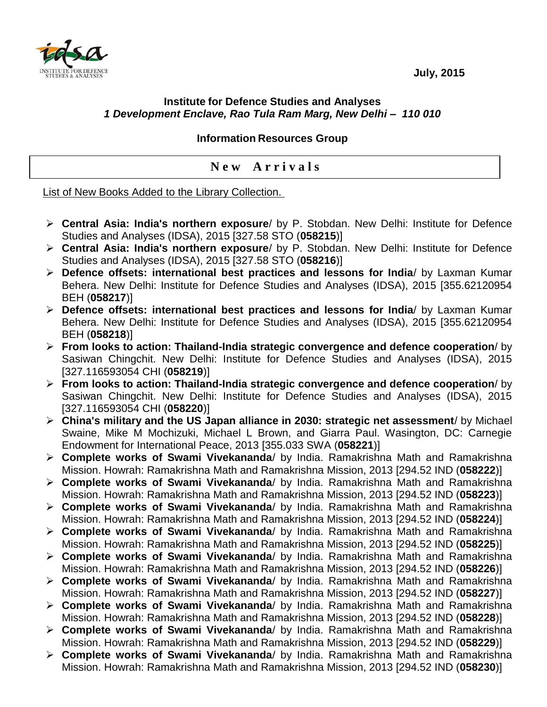**July, 2015**



## **Institute for Defence Studies and Analyses** *1 Development Enclave, Rao Tula Ram Marg, New Delhi – 110 010*

## **Information Resources Group**

## **N e w A r r i v a l s**

List of New Books Added to the Library Collection.

- **Central Asia: India's northern exposure**/ by P. Stobdan. New Delhi: Institute for Defence Studies and Analyses (IDSA), 2015 [327.58 STO (**058215**)]
- **Central Asia: India's northern exposure**/ by P. Stobdan. New Delhi: Institute for Defence Studies and Analyses (IDSA), 2015 [327.58 STO (**058216**)]
- **Defence offsets: international best practices and lessons for India**/ by Laxman Kumar Behera. New Delhi: Institute for Defence Studies and Analyses (IDSA), 2015 [355.62120954 BEH (**058217**)]
- **Defence offsets: international best practices and lessons for India**/ by Laxman Kumar Behera. New Delhi: Institute for Defence Studies and Analyses (IDSA), 2015 [355.62120954 BEH (**058218**)]
- **From looks to action: Thailand-India strategic convergence and defence cooperation**/ by Sasiwan Chingchit. New Delhi: Institute for Defence Studies and Analyses (IDSA), 2015 [327.116593054 CHI (**058219**)]
- **From looks to action: Thailand-India strategic convergence and defence cooperation**/ by Sasiwan Chingchit. New Delhi: Institute for Defence Studies and Analyses (IDSA), 2015 [327.116593054 CHI (**058220**)]
- **China's military and the US Japan alliance in 2030: strategic net assessment**/ by Michael Swaine, Mike M Mochizuki, Michael L Brown, and Giarra Paul. Wasington, DC: Carnegie Endowment for International Peace, 2013 [355.033 SWA (**058221**)]
- **Complete works of Swami Vivekananda**/ by India. Ramakrishna Math and Ramakrishna Mission. Howrah: Ramakrishna Math and Ramakrishna Mission, 2013 [294.52 IND (**058222**)]
- **Complete works of Swami Vivekananda**/ by India. Ramakrishna Math and Ramakrishna Mission. Howrah: Ramakrishna Math and Ramakrishna Mission, 2013 [294.52 IND (**058223**)]
- **Complete works of Swami Vivekananda**/ by India. Ramakrishna Math and Ramakrishna Mission. Howrah: Ramakrishna Math and Ramakrishna Mission, 2013 [294.52 IND (**058224**)]
- **Complete works of Swami Vivekananda**/ by India. Ramakrishna Math and Ramakrishna Mission. Howrah: Ramakrishna Math and Ramakrishna Mission, 2013 [294.52 IND (**058225**)]
- **Complete works of Swami Vivekananda**/ by India. Ramakrishna Math and Ramakrishna Mission. Howrah: Ramakrishna Math and Ramakrishna Mission, 2013 [294.52 IND (**058226**)]
- **Complete works of Swami Vivekananda**/ by India. Ramakrishna Math and Ramakrishna Mission. Howrah: Ramakrishna Math and Ramakrishna Mission, 2013 [294.52 IND (**058227**)]
- **Complete works of Swami Vivekananda**/ by India. Ramakrishna Math and Ramakrishna Mission. Howrah: Ramakrishna Math and Ramakrishna Mission, 2013 [294.52 IND (**058228**)]
- **Complete works of Swami Vivekananda**/ by India. Ramakrishna Math and Ramakrishna Mission. Howrah: Ramakrishna Math and Ramakrishna Mission, 2013 [294.52 IND (**058229**)]
- **Complete works of Swami Vivekananda**/ by India. Ramakrishna Math and Ramakrishna Mission. Howrah: Ramakrishna Math and Ramakrishna Mission, 2013 [294.52 IND (**058230**)]